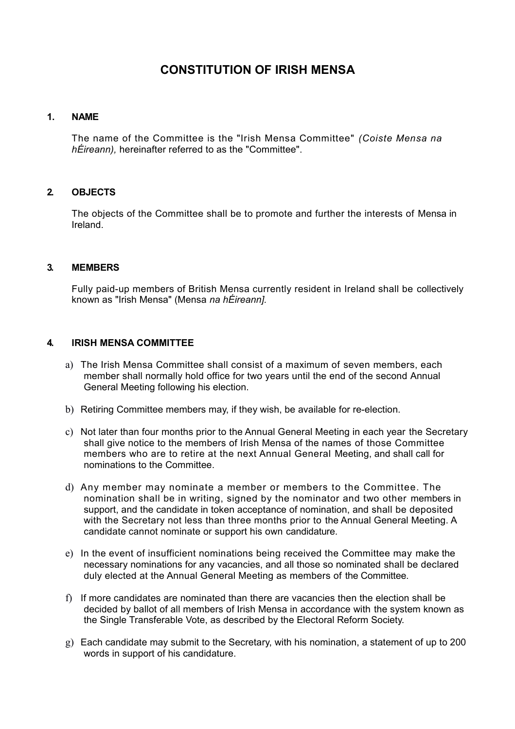# **CONSTITUTION OF IRISH MENSA**

#### **1. NAME**

The name of the Committee is the "Irish Mensa Committee" *(Coiste Mensa na hÉireann),* hereinafter referred to as the "Committee".

#### **2. OBJECTS**

The objects of the Committee shall be to promote and further the interests of Mensa in Ireland.

#### **3. MEMBERS**

Fully paid-up members of British Mensa currently resident in Ireland shall be collectively known as "Irish Mensa" (Mensa *na hÉireann].*

#### **4. IRISH MENSA COMMITTEE**

- a) The Irish Mensa Committee shall consist of a maximum of seven members, each member shall normally hold office for two years until the end of the second Annual General Meeting following his election.
- b) Retiring Committee members may, if they wish, be available for re-election.
- c) Not later than four months prior to the Annual General Meeting in each year the Secretary shall give notice to the members of Irish Mensa of the names of those Committee members who are to retire at the next Annual General Meeting, and shall call for nominations to the Committee.
- d) Any member may nominate a member or members to the Committee. The nomination shall be in writing, signed by the nominator and two other members in support, and the candidate in token acceptance of nomination, and shall be deposited with the Secretary not less than three months prior to the Annual General Meeting. A candidate cannot nominate or support his own candidature.
- e) In the event of insufficient nominations being received the Committee may make the necessary nominations for any vacancies, and all those so nominated shall be declared duly elected at the Annual General Meeting as members of the Committee.
- f) If more candidates are nominated than there are vacancies then the election shall be decided by ballot of all members of Irish Mensa in accordance with the system known as the Single Transferable Vote, as described by the Electoral Reform Society.
- g) Each candidate may submit to the Secretary, with his nomination, a statement of up to 200 words in support of his candidature.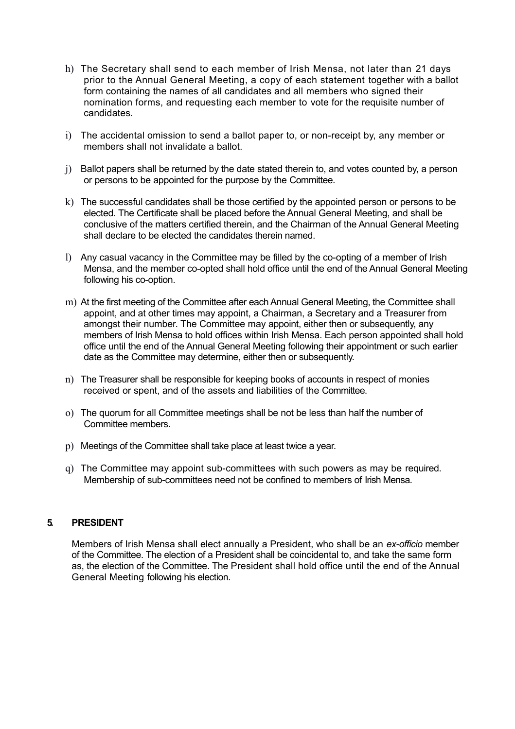- h) The Secretary shall send to each member of Irish Mensa, not later than 21 days prior to the Annual General Meeting, a copy of each statement together with a ballot form containing the names of all candidates and all members who signed their nomination forms, and requesting each member to vote for the requisite number of candidates.
- i) The accidental omission to send a ballot paper to, or non-receipt by, any member or members shall not invalidate a ballot.
- j) Ballot papers shall be returned by the date stated therein to, and votes counted by, a person or persons to be appointed for the purpose by the Committee.
- k) The successful candidates shall be those certified by the appointed person or persons to be elected. The Certificate shall be placed before the Annual General Meeting, and shall be conclusive of the matters certified therein, and the Chairman of the Annual General Meeting shall declare to be elected the candidates therein named.
- l) Any casual vacancy in the Committee may be filled by the co-opting of a member of Irish Mensa, and the member co-opted shall hold office until the end of the Annual General Meeting following his co-option.
- m) At the first meeting of the Committee after each Annual General Meeting, the Committee shall appoint, and at other times may appoint, a Chairman, a Secretary and a Treasurer from amongst their number. The Committee may appoint, either then or subsequently, any members of Irish Mensa to hold offices within Irish Mensa. Each person appointed shall hold office until the end of the Annual General Meeting following their appointment or such earlier date as the Committee may determine, either then or subsequently.
- n) The Treasurer shall be responsible for keeping books of accounts in respect of monies received or spent, and of the assets and liabilities of the Committee.
- o) The quorum for all Committee meetings shall be not be less than half the number of Committee members.
- p) Meetings of the Committee shall take place at least twice a year.
- q) The Committee may appoint sub-committees with such powers as may be required. Membership of sub-committees need not be confined to members of Irish Mensa.

#### **5. PRESIDENT**

Members of Irish Mensa shall elect annually a President, who shall be an *ex-officio* member of the Committee. The election of a President shall be coincidental to, and take the same form as, the election of the Committee. The President shall hold office until the end of the Annual General Meeting following his election.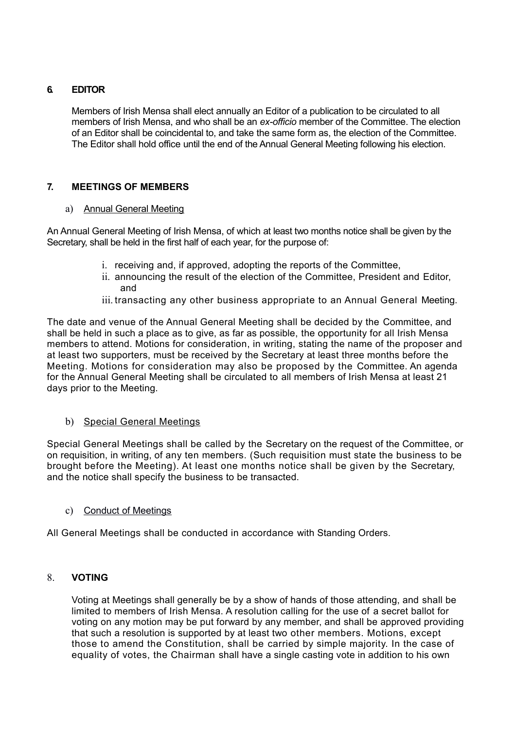## **6. EDITOR**

Members of Irish Mensa shall elect annually an Editor of a publication to be circulated to all members of Irish Mensa, and who shall be an *ex-officio* member of the Committee. The election of an Editor shall be coincidental to, and take the same form as, the election of the Committee. The Editor shall hold office until the end of the Annual General Meeting following his election.

## **7. MEETINGS OF MEMBERS**

#### a) Annual General Meeting

An Annual General Meeting of Irish Mensa, of which at least two months notice shall be given by the Secretary, shall be held in the first half of each year, for the purpose of:

- i. receiving and, if approved, adopting the reports of the Committee,
- ii. announcing the result of the election of the Committee, President and Editor, and
- iii. transacting any other business appropriate to an Annual General Meeting.

The date and venue of the Annual General Meeting shall be decided by the Committee, and shall be held in such a place as to give, as far as possible, the opportunity for all Irish Mensa members to attend. Motions for consideration, in writing, stating the name of the proposer and at least two supporters, must be received by the Secretary at least three months before the Meeting. Motions for consideration may also be proposed by the Committee. An agenda for the Annual General Meeting shall be circulated to all members of Irish Mensa at least 21 days prior to the Meeting.

#### b) Special General Meetings

Special General Meetings shall be called by the Secretary on the request of the Committee, or on requisition, in writing, of any ten members. (Such requisition must state the business to be brought before the Meeting). At least one months notice shall be given by the Secretary, and the notice shall specify the business to be transacted.

#### c) Conduct of Meetings

All General Meetings shall be conducted in accordance with Standing Orders.

# 8. **VOTING**

Voting at Meetings shall generally be by a show of hands of those attending, and shall be limited to members of Irish Mensa. A resolution calling for the use of a secret ballot for voting on any motion may be put forward by any member, and shall be approved providing that such a resolution is supported by at least two other members. Motions, except those to amend the Constitution, shall be carried by simple majority. In the case of equality of votes, the Chairman shall have a single casting vote in addition to his own